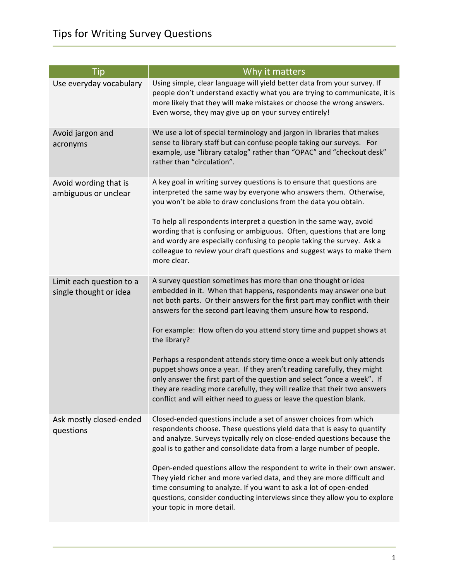| <b>Tip</b>                                         | Why it matters                                                                                                                                                                                                                                                                                                                                                                |
|----------------------------------------------------|-------------------------------------------------------------------------------------------------------------------------------------------------------------------------------------------------------------------------------------------------------------------------------------------------------------------------------------------------------------------------------|
| Use everyday vocabulary                            | Using simple, clear language will yield better data from your survey. If<br>people don't understand exactly what you are trying to communicate, it is<br>more likely that they will make mistakes or choose the wrong answers.<br>Even worse, they may give up on your survey entirely!                                                                                       |
| Avoid jargon and<br>acronyms                       | We use a lot of special terminology and jargon in libraries that makes<br>sense to library staff but can confuse people taking our surveys. For<br>example, use "library catalog" rather than "OPAC" and "checkout desk"<br>rather than "circulation".                                                                                                                        |
| Avoid wording that is<br>ambiguous or unclear      | A key goal in writing survey questions is to ensure that questions are<br>interpreted the same way by everyone who answers them. Otherwise,<br>you won't be able to draw conclusions from the data you obtain.                                                                                                                                                                |
|                                                    | To help all respondents interpret a question in the same way, avoid<br>wording that is confusing or ambiguous. Often, questions that are long<br>and wordy are especially confusing to people taking the survey. Ask a<br>colleague to review your draft questions and suggest ways to make them<br>more clear.                                                               |
| Limit each question to a<br>single thought or idea | A survey question sometimes has more than one thought or idea<br>embedded in it. When that happens, respondents may answer one but<br>not both parts. Or their answers for the first part may conflict with their<br>answers for the second part leaving them unsure how to respond.                                                                                          |
|                                                    | For example: How often do you attend story time and puppet shows at<br>the library?                                                                                                                                                                                                                                                                                           |
|                                                    | Perhaps a respondent attends story time once a week but only attends<br>puppet shows once a year. If they aren't reading carefully, they might<br>only answer the first part of the question and select "once a week". If<br>they are reading more carefully, they will realize that their two answers<br>conflict and will either need to guess or leave the question blank. |
| Ask mostly closed-ended<br>questions               | Closed-ended questions include a set of answer choices from which<br>respondents choose. These questions yield data that is easy to quantify<br>and analyze. Surveys typically rely on close-ended questions because the<br>goal is to gather and consolidate data from a large number of people.                                                                             |
|                                                    | Open-ended questions allow the respondent to write in their own answer.<br>They yield richer and more varied data, and they are more difficult and<br>time consuming to analyze. If you want to ask a lot of open-ended<br>questions, consider conducting interviews since they allow you to explore<br>your topic in more detail.                                            |